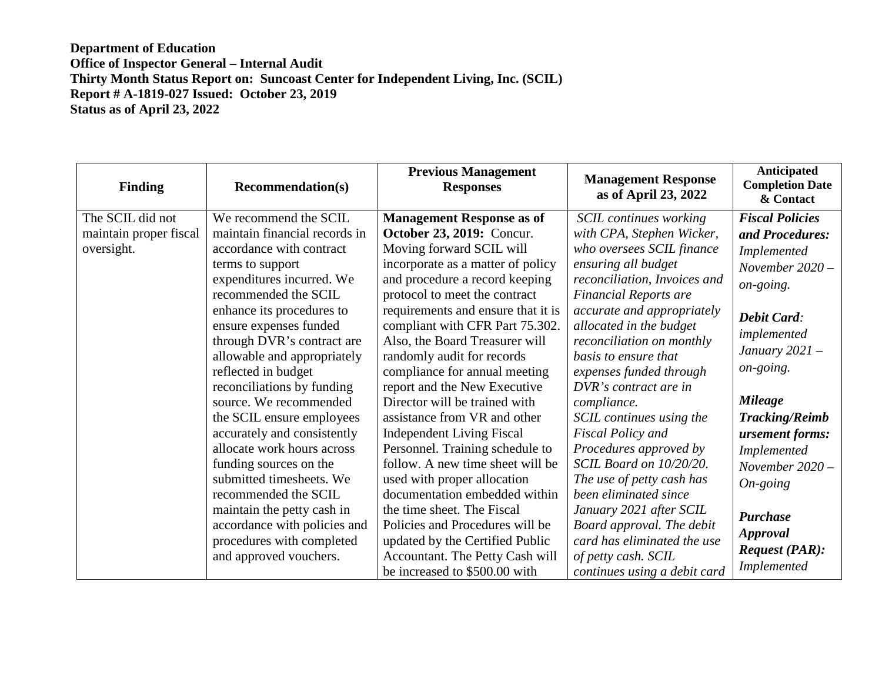| <b>Finding</b>         | <b>Recommendation(s)</b>      | <b>Previous Management</b><br><b>Responses</b> | <b>Management Response</b><br>as of April 23, 2022 | Anticipated<br><b>Completion Date</b><br>& Contact |
|------------------------|-------------------------------|------------------------------------------------|----------------------------------------------------|----------------------------------------------------|
| The SCIL did not       | We recommend the SCIL         | <b>Management Response as of</b>               | <b>SCIL</b> continues working                      | <b>Fiscal Policies</b>                             |
| maintain proper fiscal | maintain financial records in | October 23, 2019: Concur.                      | with CPA, Stephen Wicker,                          | and Procedures:                                    |
| oversight.             | accordance with contract      | Moving forward SCIL will                       | who oversees SCIL finance                          | Implemented                                        |
|                        | terms to support              | incorporate as a matter of policy              | ensuring all budget                                | November 2020 -                                    |
|                        | expenditures incurred. We     | and procedure a record keeping                 | reconciliation, Invoices and                       | on-going.                                          |
|                        | recommended the SCIL          | protocol to meet the contract                  | <b>Financial Reports are</b>                       |                                                    |
|                        | enhance its procedures to     | requirements and ensure that it is             | accurate and appropriately                         | <b>Debit Card:</b>                                 |
|                        | ensure expenses funded        | compliant with CFR Part 75.302.                | allocated in the budget                            | implemented                                        |
|                        | through DVR's contract are    | Also, the Board Treasurer will                 | reconciliation on monthly                          |                                                    |
|                        | allowable and appropriately   | randomly audit for records                     | basis to ensure that                               | January $2021 -$                                   |
|                        | reflected in budget           | compliance for annual meeting                  | expenses funded through                            | on-going.                                          |
|                        | reconciliations by funding    | report and the New Executive                   | DVR's contract are in                              |                                                    |
|                        | source. We recommended        | Director will be trained with                  | compliance.                                        | <b>Mileage</b>                                     |
|                        | the SCIL ensure employees     | assistance from VR and other                   | SCIL continues using the                           | <b>Tracking/Reimb</b>                              |
|                        | accurately and consistently   | <b>Independent Living Fiscal</b>               | <b>Fiscal Policy and</b>                           | ursement forms:                                    |
|                        | allocate work hours across    | Personnel. Training schedule to                | Procedures approved by                             | Implemented                                        |
|                        | funding sources on the        | follow. A new time sheet will be               | SCIL Board on 10/20/20.                            | November $2020 -$                                  |
|                        | submitted timesheets. We      | used with proper allocation                    | The use of petty cash has                          | $On$ -going                                        |
|                        | recommended the SCIL          | documentation embedded within                  | been eliminated since                              |                                                    |
|                        | maintain the petty cash in    | the time sheet. The Fiscal                     | January 2021 after SCIL                            | <b>Purchase</b>                                    |
|                        | accordance with policies and  | Policies and Procedures will be                | Board approval. The debit                          |                                                    |
|                        | procedures with completed     | updated by the Certified Public                | card has eliminated the use                        | <b>Approval</b>                                    |
|                        | and approved vouchers.        | Accountant. The Petty Cash will                | of petty cash. SCIL                                | <b>Request (PAR):</b>                              |
|                        |                               | be increased to \$500.00 with                  | continues using a debit card                       | Implemented                                        |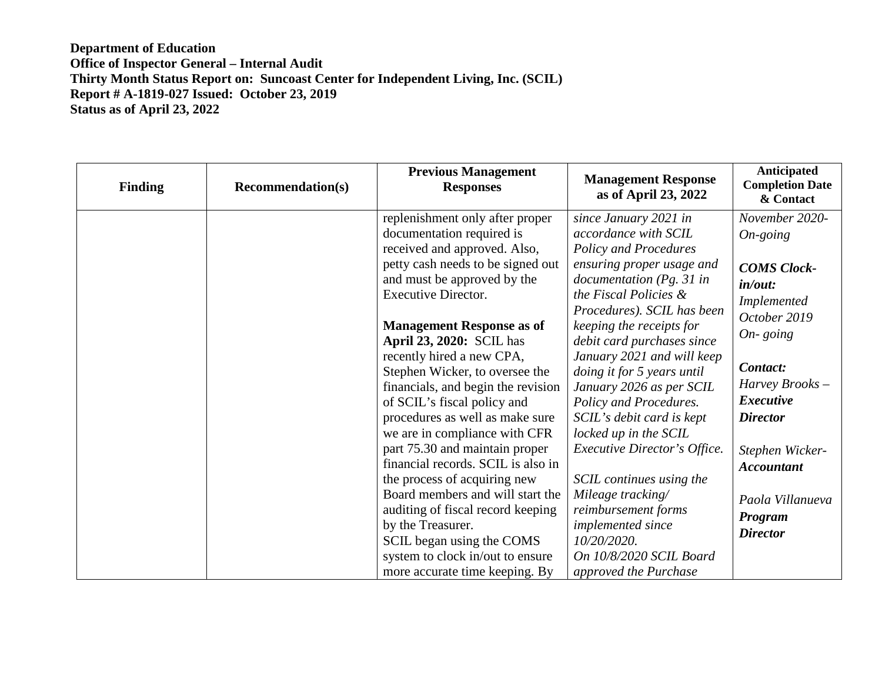| <b>Finding</b> | <b>Recommendation(s)</b> | <b>Previous Management</b><br><b>Responses</b>                  | <b>Management Response</b><br>as of April 23, 2022    | Anticipated<br><b>Completion Date</b><br>& Contact |
|----------------|--------------------------|-----------------------------------------------------------------|-------------------------------------------------------|----------------------------------------------------|
|                |                          | replenishment only after proper                                 | since January 2021 in                                 | November 2020-                                     |
|                |                          | documentation required is                                       | accordance with SCIL                                  | $On\text{-}going$                                  |
|                |                          | received and approved. Also,                                    | <b>Policy and Procedures</b>                          |                                                    |
|                |                          | petty cash needs to be signed out                               | ensuring proper usage and                             | <b>COMS Clock-</b>                                 |
|                |                          | and must be approved by the                                     | documentation (Pg. 31 in                              | in/out:                                            |
|                |                          | <b>Executive Director.</b>                                      | the Fiscal Policies &                                 | Implemented                                        |
|                |                          |                                                                 | Procedures). SCIL has been                            | October 2019                                       |
|                |                          | <b>Management Response as of</b>                                | keeping the receipts for                              | $On$ - going                                       |
|                |                          | <b>April 23, 2020: SCIL has</b>                                 | debit card purchases since                            |                                                    |
|                |                          | recently hired a new CPA,                                       | January 2021 and will keep                            | Contact:                                           |
|                |                          | Stephen Wicker, to oversee the                                  | doing it for 5 years until                            | Harvey Brooks-                                     |
|                |                          | financials, and begin the revision                              | January 2026 as per SCIL                              | <b>Executive</b>                                   |
|                |                          | of SCIL's fiscal policy and                                     | Policy and Procedures.                                | <b>Director</b>                                    |
|                |                          | procedures as well as make sure                                 | SCIL's debit card is kept                             |                                                    |
|                |                          | we are in compliance with CFR<br>part 75.30 and maintain proper | locked up in the SCIL<br>Executive Director's Office. |                                                    |
|                |                          | financial records. SCIL is also in                              |                                                       | Stephen Wicker-                                    |
|                |                          | the process of acquiring new                                    | SCIL continues using the                              | <b>Accountant</b>                                  |
|                |                          | Board members and will start the                                | Mileage tracking/                                     |                                                    |
|                |                          | auditing of fiscal record keeping                               | reimbursement forms                                   | Paola Villanueva                                   |
|                |                          | by the Treasurer.                                               | implemented since                                     | Program                                            |
|                |                          | SCIL began using the COMS                                       | 10/20/2020.                                           | <b>Director</b>                                    |
|                |                          | system to clock in/out to ensure                                | On 10/8/2020 SCIL Board                               |                                                    |
|                |                          | more accurate time keeping. By                                  | approved the Purchase                                 |                                                    |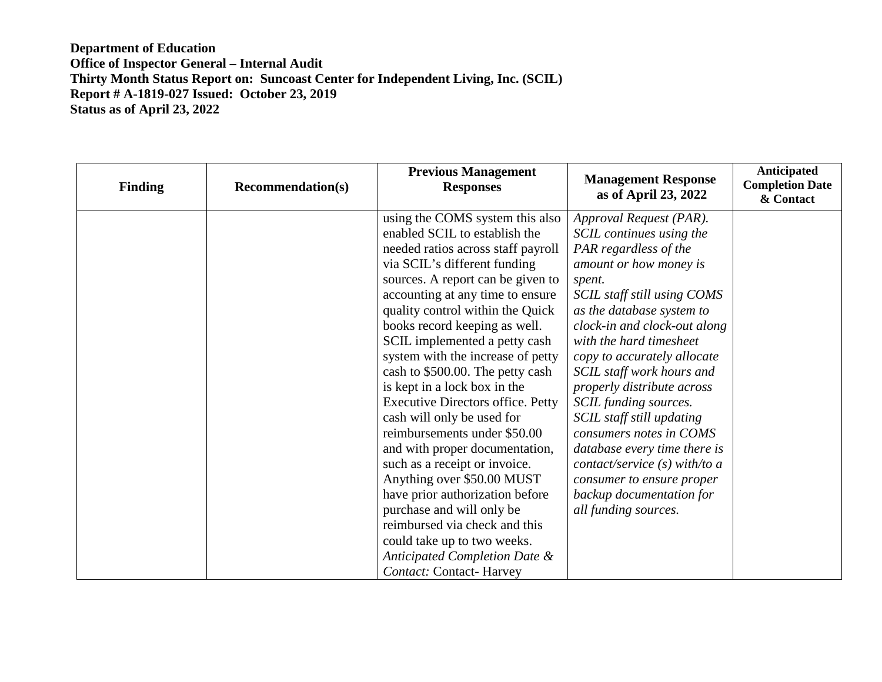| <b>Finding</b> | <b>Recommendation(s)</b> | <b>Previous Management</b><br><b>Responses</b>                                                                                                                                                                                                                                                                                                                                                                                                                                                                                                                                                              | <b>Management Response</b><br>as of April 23, 2022                                                                                                                                                                                                                                                                                                                                                                                                                                    | Anticipated<br><b>Completion Date</b><br>& Contact |
|----------------|--------------------------|-------------------------------------------------------------------------------------------------------------------------------------------------------------------------------------------------------------------------------------------------------------------------------------------------------------------------------------------------------------------------------------------------------------------------------------------------------------------------------------------------------------------------------------------------------------------------------------------------------------|---------------------------------------------------------------------------------------------------------------------------------------------------------------------------------------------------------------------------------------------------------------------------------------------------------------------------------------------------------------------------------------------------------------------------------------------------------------------------------------|----------------------------------------------------|
|                |                          | using the COMS system this also<br>enabled SCIL to establish the<br>needed ratios across staff payroll<br>via SCIL's different funding<br>sources. A report can be given to<br>accounting at any time to ensure<br>quality control within the Quick<br>books record keeping as well.<br>SCIL implemented a petty cash<br>system with the increase of petty<br>cash to \$500.00. The petty cash<br>is kept in a lock box in the<br><b>Executive Directors office. Petty</b><br>cash will only be used for<br>reimbursements under \$50.00<br>and with proper documentation,<br>such as a receipt or invoice. | Approval Request (PAR).<br>SCIL continues using the<br>PAR regardless of the<br>amount or how money is<br>spent.<br>SCIL staff still using COMS<br>as the database system to<br>clock-in and clock-out along<br>with the hard timesheet<br>copy to accurately allocate<br>SCIL staff work hours and<br>properly distribute across<br>SCIL funding sources.<br>SCIL staff still updating<br>consumers notes in COMS<br>database every time there is<br>contact/service $(s)$ with/to a |                                                    |
|                |                          | Anything over \$50.00 MUST<br>have prior authorization before<br>purchase and will only be<br>reimbursed via check and this<br>could take up to two weeks.<br>Anticipated Completion Date &<br><b>Contact:</b> Contact- Harvey                                                                                                                                                                                                                                                                                                                                                                              | consumer to ensure proper<br>backup documentation for<br>all funding sources.                                                                                                                                                                                                                                                                                                                                                                                                         |                                                    |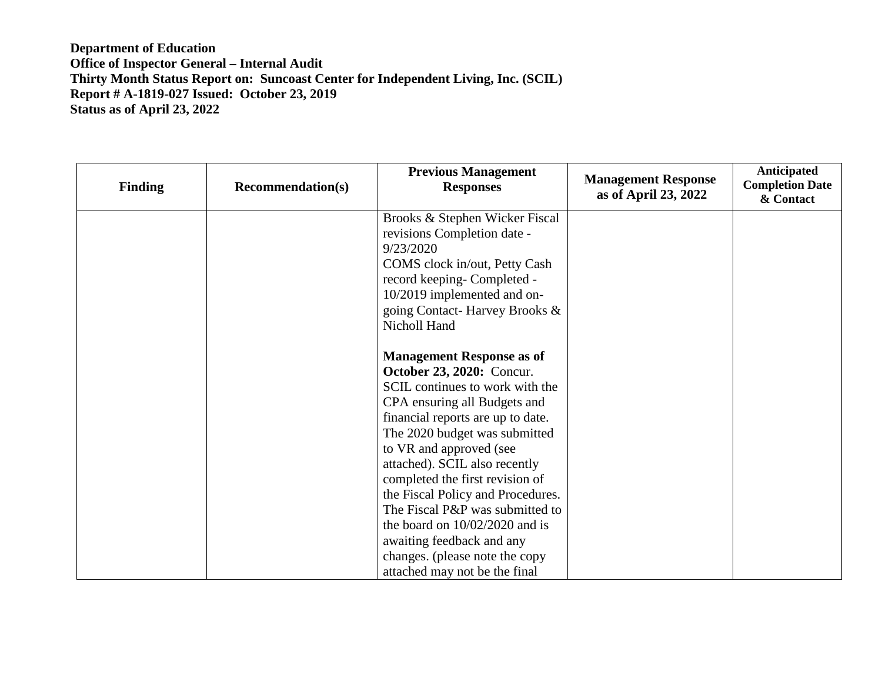| <b>Finding</b> | <b>Recommendation(s)</b> | <b>Previous Management</b><br><b>Responses</b>               | <b>Management Response</b><br>as of April 23, 2022 | Anticipated<br><b>Completion Date</b><br>& Contact |
|----------------|--------------------------|--------------------------------------------------------------|----------------------------------------------------|----------------------------------------------------|
|                |                          | Brooks & Stephen Wicker Fiscal                               |                                                    |                                                    |
|                |                          | revisions Completion date -                                  |                                                    |                                                    |
|                |                          | 9/23/2020                                                    |                                                    |                                                    |
|                |                          | COMS clock in/out, Petty Cash                                |                                                    |                                                    |
|                |                          | record keeping- Completed -                                  |                                                    |                                                    |
|                |                          | 10/2019 implemented and on-<br>going Contact-Harvey Brooks & |                                                    |                                                    |
|                |                          | Nicholl Hand                                                 |                                                    |                                                    |
|                |                          |                                                              |                                                    |                                                    |
|                |                          | <b>Management Response as of</b>                             |                                                    |                                                    |
|                |                          | <b>October 23, 2020:</b> Concur.                             |                                                    |                                                    |
|                |                          | SCIL continues to work with the                              |                                                    |                                                    |
|                |                          | CPA ensuring all Budgets and                                 |                                                    |                                                    |
|                |                          | financial reports are up to date.                            |                                                    |                                                    |
|                |                          | The 2020 budget was submitted                                |                                                    |                                                    |
|                |                          | to VR and approved (see                                      |                                                    |                                                    |
|                |                          | attached). SCIL also recently                                |                                                    |                                                    |
|                |                          | completed the first revision of                              |                                                    |                                                    |
|                |                          | the Fiscal Policy and Procedures.                            |                                                    |                                                    |
|                |                          | The Fiscal P&P was submitted to                              |                                                    |                                                    |
|                |                          | the board on $10/02/2020$ and is                             |                                                    |                                                    |
|                |                          | awaiting feedback and any                                    |                                                    |                                                    |
|                |                          | changes. (please note the copy                               |                                                    |                                                    |
|                |                          | attached may not be the final                                |                                                    |                                                    |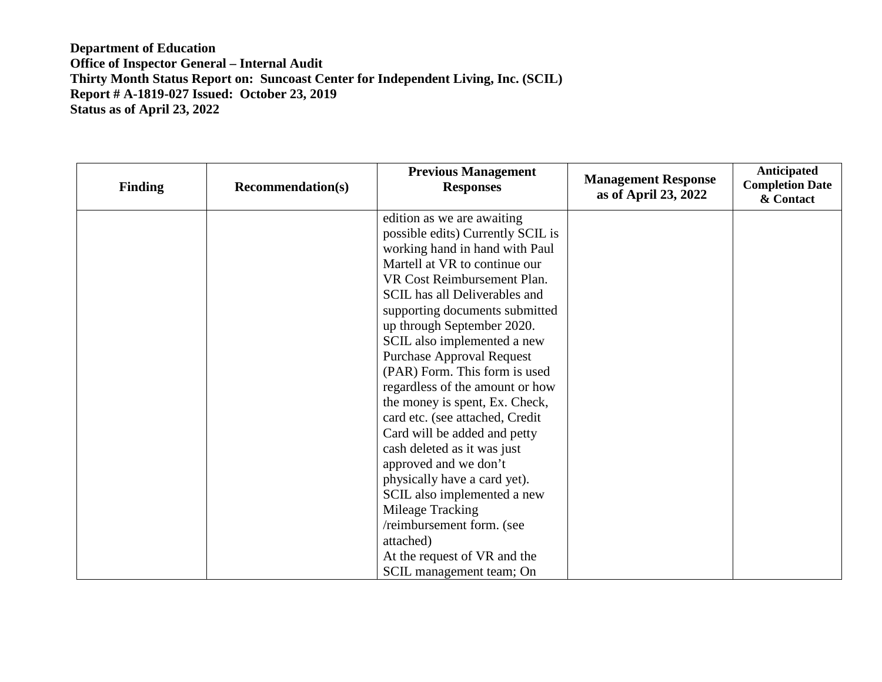| Finding | <b>Recommendation(s)</b> | <b>Previous Management</b><br><b>Responses</b> | <b>Management Response</b><br>as of April 23, 2022 | <b>Anticipated</b><br><b>Completion Date</b><br>& Contact |
|---------|--------------------------|------------------------------------------------|----------------------------------------------------|-----------------------------------------------------------|
|         |                          | edition as we are awaiting                     |                                                    |                                                           |
|         |                          | possible edits) Currently SCIL is              |                                                    |                                                           |
|         |                          | working hand in hand with Paul                 |                                                    |                                                           |
|         |                          | Martell at VR to continue our                  |                                                    |                                                           |
|         |                          | VR Cost Reimbursement Plan.                    |                                                    |                                                           |
|         |                          | SCIL has all Deliverables and                  |                                                    |                                                           |
|         |                          | supporting documents submitted                 |                                                    |                                                           |
|         |                          | up through September 2020.                     |                                                    |                                                           |
|         |                          | SCIL also implemented a new                    |                                                    |                                                           |
|         |                          | <b>Purchase Approval Request</b>               |                                                    |                                                           |
|         |                          | (PAR) Form. This form is used                  |                                                    |                                                           |
|         |                          | regardless of the amount or how                |                                                    |                                                           |
|         |                          | the money is spent, Ex. Check,                 |                                                    |                                                           |
|         |                          | card etc. (see attached, Credit                |                                                    |                                                           |
|         |                          | Card will be added and petty                   |                                                    |                                                           |
|         |                          | cash deleted as it was just                    |                                                    |                                                           |
|         |                          | approved and we don't                          |                                                    |                                                           |
|         |                          | physically have a card yet).                   |                                                    |                                                           |
|         |                          | SCIL also implemented a new                    |                                                    |                                                           |
|         |                          | Mileage Tracking                               |                                                    |                                                           |
|         |                          | /reimbursement form. (see                      |                                                    |                                                           |
|         |                          | attached)                                      |                                                    |                                                           |
|         |                          | At the request of VR and the                   |                                                    |                                                           |
|         |                          | SCIL management team; On                       |                                                    |                                                           |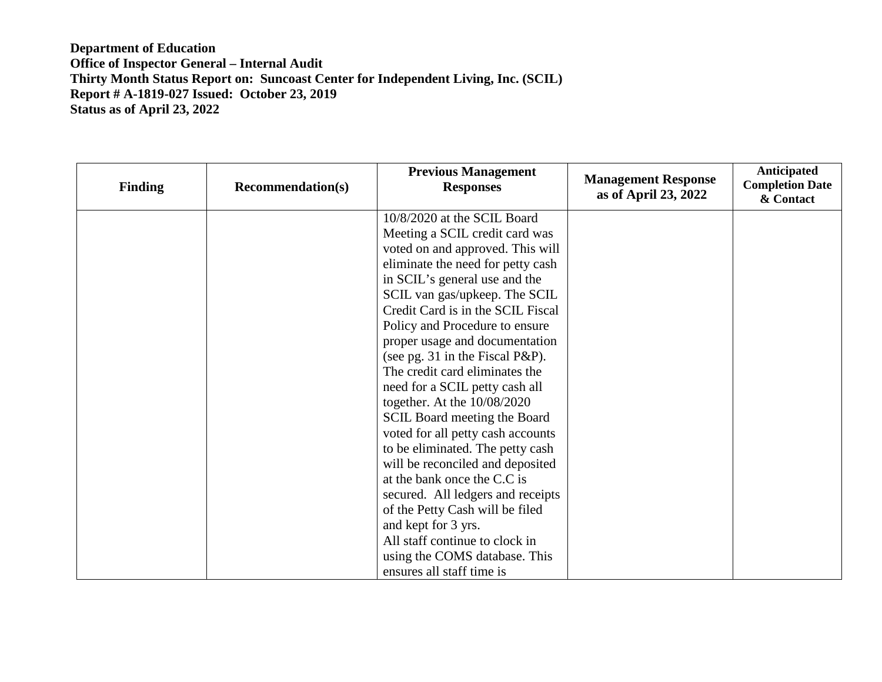| <b>Finding</b> | <b>Recommendation(s)</b> | <b>Previous Management</b><br><b>Responses</b> | <b>Management Response</b><br>as of April 23, 2022 | <b>Anticipated</b><br><b>Completion Date</b><br>& Contact |
|----------------|--------------------------|------------------------------------------------|----------------------------------------------------|-----------------------------------------------------------|
|                |                          | 10/8/2020 at the SCIL Board                    |                                                    |                                                           |
|                |                          | Meeting a SCIL credit card was                 |                                                    |                                                           |
|                |                          | voted on and approved. This will               |                                                    |                                                           |
|                |                          | eliminate the need for petty cash              |                                                    |                                                           |
|                |                          | in SCIL's general use and the                  |                                                    |                                                           |
|                |                          | SCIL van gas/upkeep. The SCIL                  |                                                    |                                                           |
|                |                          | Credit Card is in the SCIL Fiscal              |                                                    |                                                           |
|                |                          | Policy and Procedure to ensure                 |                                                    |                                                           |
|                |                          | proper usage and documentation                 |                                                    |                                                           |
|                |                          | (see pg. 31 in the Fiscal P&P).                |                                                    |                                                           |
|                |                          | The credit card eliminates the                 |                                                    |                                                           |
|                |                          | need for a SCIL petty cash all                 |                                                    |                                                           |
|                |                          | together. At the $10/08/2020$                  |                                                    |                                                           |
|                |                          | <b>SCIL Board meeting the Board</b>            |                                                    |                                                           |
|                |                          | voted for all petty cash accounts              |                                                    |                                                           |
|                |                          | to be eliminated. The petty cash               |                                                    |                                                           |
|                |                          | will be reconciled and deposited               |                                                    |                                                           |
|                |                          | at the bank once the C.C is                    |                                                    |                                                           |
|                |                          | secured. All ledgers and receipts              |                                                    |                                                           |
|                |                          | of the Petty Cash will be filed                |                                                    |                                                           |
|                |                          | and kept for 3 yrs.                            |                                                    |                                                           |
|                |                          | All staff continue to clock in                 |                                                    |                                                           |
|                |                          | using the COMS database. This                  |                                                    |                                                           |
|                |                          | ensures all staff time is                      |                                                    |                                                           |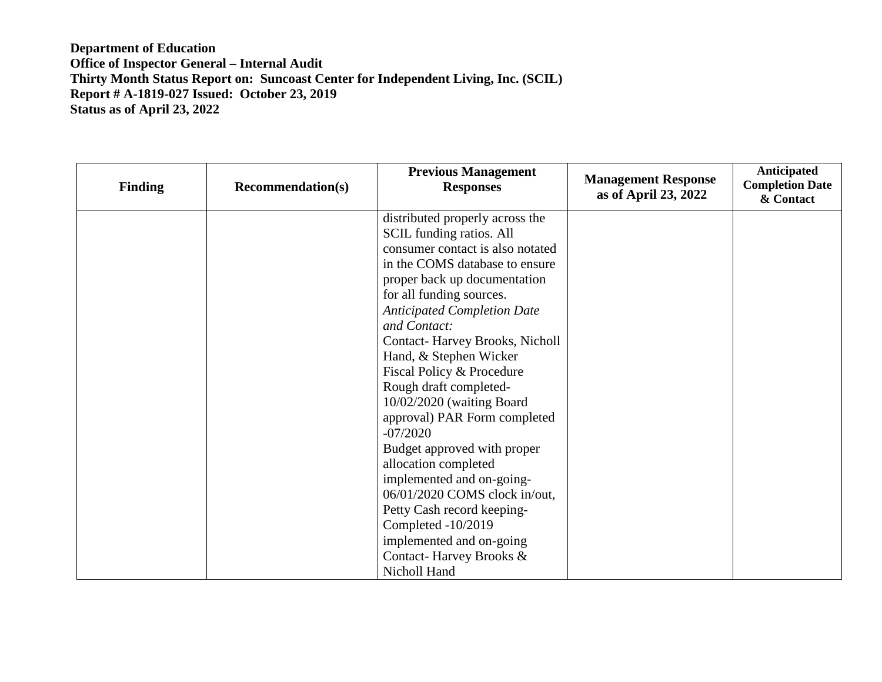| <b>Finding</b> | <b>Recommendation(s)</b> | <b>Previous Management</b><br><b>Responses</b> | <b>Management Response</b><br>as of April 23, 2022 | Anticipated<br><b>Completion Date</b><br>& Contact |
|----------------|--------------------------|------------------------------------------------|----------------------------------------------------|----------------------------------------------------|
|                |                          | distributed properly across the                |                                                    |                                                    |
|                |                          | <b>SCIL</b> funding ratios. All                |                                                    |                                                    |
|                |                          | consumer contact is also notated               |                                                    |                                                    |
|                |                          | in the COMS database to ensure                 |                                                    |                                                    |
|                |                          | proper back up documentation                   |                                                    |                                                    |
|                |                          | for all funding sources.                       |                                                    |                                                    |
|                |                          | <b>Anticipated Completion Date</b>             |                                                    |                                                    |
|                |                          | and Contact:                                   |                                                    |                                                    |
|                |                          | <b>Contact-Harvey Brooks, Nicholl</b>          |                                                    |                                                    |
|                |                          | Hand, & Stephen Wicker                         |                                                    |                                                    |
|                |                          | Fiscal Policy & Procedure                      |                                                    |                                                    |
|                |                          | Rough draft completed-                         |                                                    |                                                    |
|                |                          | 10/02/2020 (waiting Board                      |                                                    |                                                    |
|                |                          | approval) PAR Form completed                   |                                                    |                                                    |
|                |                          | $-07/2020$                                     |                                                    |                                                    |
|                |                          | Budget approved with proper                    |                                                    |                                                    |
|                |                          | allocation completed                           |                                                    |                                                    |
|                |                          | implemented and on-going-                      |                                                    |                                                    |
|                |                          | 06/01/2020 COMS clock in/out,                  |                                                    |                                                    |
|                |                          | Petty Cash record keeping-                     |                                                    |                                                    |
|                |                          | Completed -10/2019                             |                                                    |                                                    |
|                |                          | implemented and on-going                       |                                                    |                                                    |
|                |                          | Contact-Harvey Brooks &                        |                                                    |                                                    |
|                |                          | Nicholl Hand                                   |                                                    |                                                    |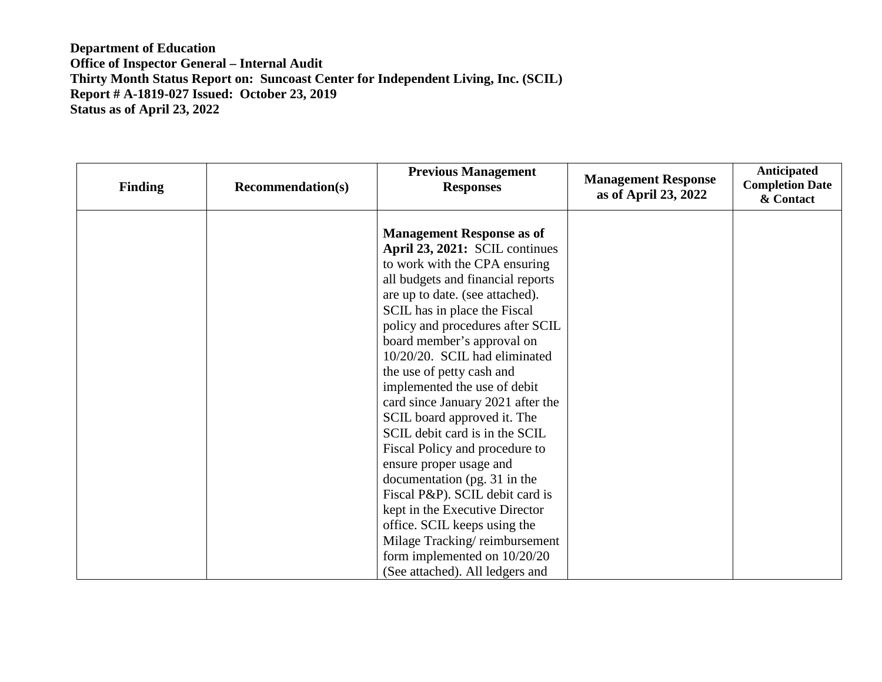| <b>Finding</b> | <b>Recommendation(s)</b> | <b>Previous Management</b><br><b>Responses</b>                                                                                                                                                                                                                                                                                                                                                                                                                                                                                                                                                                                                                                                                                                                                            | <b>Management Response</b><br>as of April 23, 2022 | Anticipated<br><b>Completion Date</b><br>& Contact |
|----------------|--------------------------|-------------------------------------------------------------------------------------------------------------------------------------------------------------------------------------------------------------------------------------------------------------------------------------------------------------------------------------------------------------------------------------------------------------------------------------------------------------------------------------------------------------------------------------------------------------------------------------------------------------------------------------------------------------------------------------------------------------------------------------------------------------------------------------------|----------------------------------------------------|----------------------------------------------------|
|                |                          | <b>Management Response as of</b><br>April 23, 2021: SCIL continues<br>to work with the CPA ensuring<br>all budgets and financial reports<br>are up to date. (see attached).<br>SCIL has in place the Fiscal<br>policy and procedures after SCIL<br>board member's approval on<br>10/20/20. SCIL had eliminated<br>the use of petty cash and<br>implemented the use of debit<br>card since January 2021 after the<br>SCIL board approved it. The<br>SCIL debit card is in the SCIL<br>Fiscal Policy and procedure to<br>ensure proper usage and<br>documentation (pg. 31 in the<br>Fiscal P&P). SCIL debit card is<br>kept in the Executive Director<br>office. SCIL keeps using the<br>Milage Tracking/reimbursement<br>form implemented on $10/20/20$<br>(See attached). All ledgers and |                                                    |                                                    |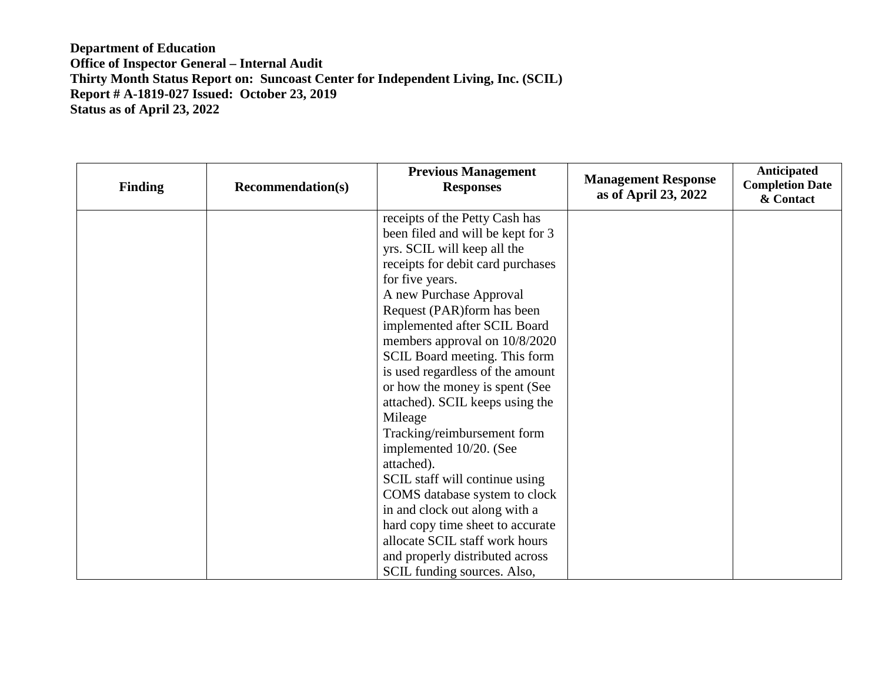| <b>Finding</b> | <b>Recommendation(s)</b> | <b>Previous Management</b><br><b>Responses</b> | <b>Management Response</b><br>as of April 23, 2022 | Anticipated<br><b>Completion Date</b><br>& Contact |
|----------------|--------------------------|------------------------------------------------|----------------------------------------------------|----------------------------------------------------|
|                |                          | receipts of the Petty Cash has                 |                                                    |                                                    |
|                |                          | been filed and will be kept for 3              |                                                    |                                                    |
|                |                          | yrs. SCIL will keep all the                    |                                                    |                                                    |
|                |                          | receipts for debit card purchases              |                                                    |                                                    |
|                |                          | for five years.                                |                                                    |                                                    |
|                |                          | A new Purchase Approval                        |                                                    |                                                    |
|                |                          | Request (PAR) form has been                    |                                                    |                                                    |
|                |                          | implemented after SCIL Board                   |                                                    |                                                    |
|                |                          | members approval on 10/8/2020                  |                                                    |                                                    |
|                |                          | SCIL Board meeting. This form                  |                                                    |                                                    |
|                |                          | is used regardless of the amount               |                                                    |                                                    |
|                |                          | or how the money is spent (See                 |                                                    |                                                    |
|                |                          | attached). SCIL keeps using the                |                                                    |                                                    |
|                |                          | Mileage                                        |                                                    |                                                    |
|                |                          | Tracking/reimbursement form                    |                                                    |                                                    |
|                |                          | implemented 10/20. (See                        |                                                    |                                                    |
|                |                          | attached).                                     |                                                    |                                                    |
|                |                          | SCIL staff will continue using                 |                                                    |                                                    |
|                |                          | COMS database system to clock                  |                                                    |                                                    |
|                |                          | in and clock out along with a                  |                                                    |                                                    |
|                |                          | hard copy time sheet to accurate               |                                                    |                                                    |
|                |                          | allocate SCIL staff work hours                 |                                                    |                                                    |
|                |                          | and properly distributed across                |                                                    |                                                    |
|                |                          | SCIL funding sources. Also,                    |                                                    |                                                    |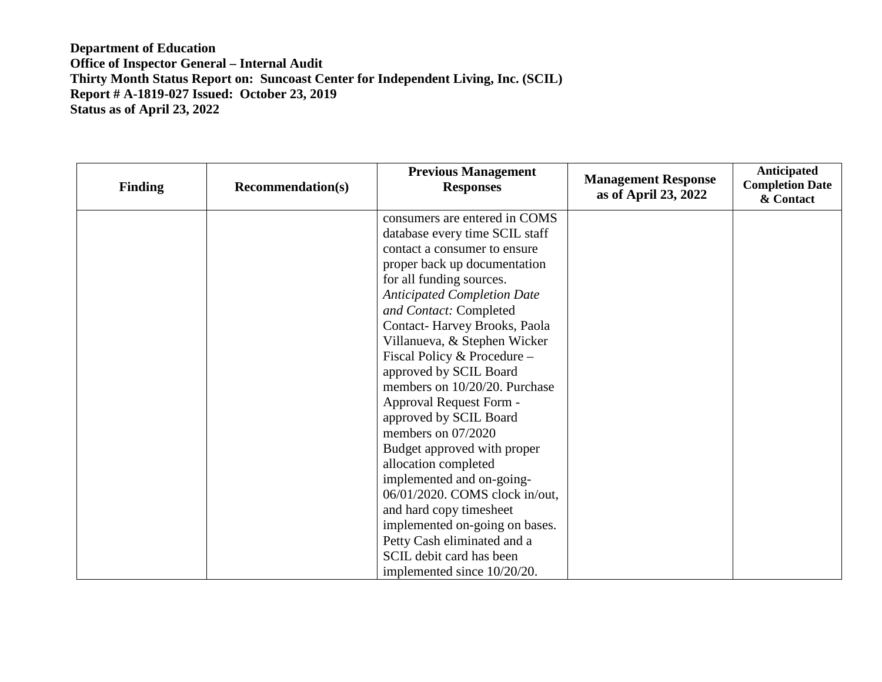| <b>Finding</b> | <b>Recommendation(s)</b> | <b>Previous Management</b><br><b>Responses</b> | <b>Management Response</b><br>as of April 23, 2022 | Anticipated<br><b>Completion Date</b><br>& Contact |
|----------------|--------------------------|------------------------------------------------|----------------------------------------------------|----------------------------------------------------|
|                |                          | consumers are entered in COMS                  |                                                    |                                                    |
|                |                          | database every time SCIL staff                 |                                                    |                                                    |
|                |                          | contact a consumer to ensure                   |                                                    |                                                    |
|                |                          | proper back up documentation                   |                                                    |                                                    |
|                |                          | for all funding sources.                       |                                                    |                                                    |
|                |                          | <b>Anticipated Completion Date</b>             |                                                    |                                                    |
|                |                          | and Contact: Completed                         |                                                    |                                                    |
|                |                          | Contact-Harvey Brooks, Paola                   |                                                    |                                                    |
|                |                          | Villanueva, & Stephen Wicker                   |                                                    |                                                    |
|                |                          | Fiscal Policy & Procedure -                    |                                                    |                                                    |
|                |                          | approved by SCIL Board                         |                                                    |                                                    |
|                |                          | members on 10/20/20. Purchase                  |                                                    |                                                    |
|                |                          | Approval Request Form -                        |                                                    |                                                    |
|                |                          | approved by SCIL Board                         |                                                    |                                                    |
|                |                          | members on $07/2020$                           |                                                    |                                                    |
|                |                          | Budget approved with proper                    |                                                    |                                                    |
|                |                          | allocation completed                           |                                                    |                                                    |
|                |                          | implemented and on-going-                      |                                                    |                                                    |
|                |                          | 06/01/2020. COMS clock in/out,                 |                                                    |                                                    |
|                |                          | and hard copy timesheet                        |                                                    |                                                    |
|                |                          | implemented on-going on bases.                 |                                                    |                                                    |
|                |                          | Petty Cash eliminated and a                    |                                                    |                                                    |
|                |                          | SCIL debit card has been                       |                                                    |                                                    |
|                |                          | implemented since 10/20/20.                    |                                                    |                                                    |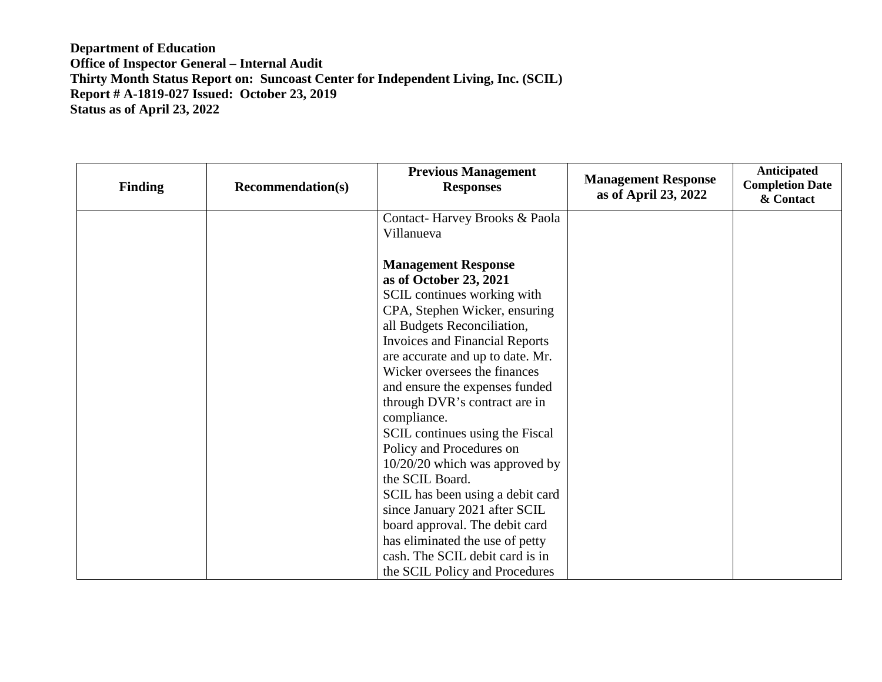| <b>Finding</b> | <b>Recommendation(s)</b> | <b>Previous Management</b><br><b>Responses</b>                                                                                                                                                                                                                                                                                                                                                                                                                                                                                                                                                                                                                                        | <b>Management Response</b><br>as of April 23, 2022 | Anticipated<br><b>Completion Date</b><br>& Contact |
|----------------|--------------------------|---------------------------------------------------------------------------------------------------------------------------------------------------------------------------------------------------------------------------------------------------------------------------------------------------------------------------------------------------------------------------------------------------------------------------------------------------------------------------------------------------------------------------------------------------------------------------------------------------------------------------------------------------------------------------------------|----------------------------------------------------|----------------------------------------------------|
|                |                          | Contact-Harvey Brooks & Paola<br>Villanueva                                                                                                                                                                                                                                                                                                                                                                                                                                                                                                                                                                                                                                           |                                                    |                                                    |
|                |                          | <b>Management Response</b><br>as of October 23, 2021<br>SCIL continues working with<br>CPA, Stephen Wicker, ensuring<br>all Budgets Reconciliation,<br><b>Invoices and Financial Reports</b><br>are accurate and up to date. Mr.<br>Wicker oversees the finances<br>and ensure the expenses funded<br>through DVR's contract are in<br>compliance.<br>SCIL continues using the Fiscal<br>Policy and Procedures on<br>10/20/20 which was approved by<br>the SCIL Board.<br>SCIL has been using a debit card<br>since January 2021 after SCIL<br>board approval. The debit card<br>has eliminated the use of petty<br>cash. The SCIL debit card is in<br>the SCIL Policy and Procedures |                                                    |                                                    |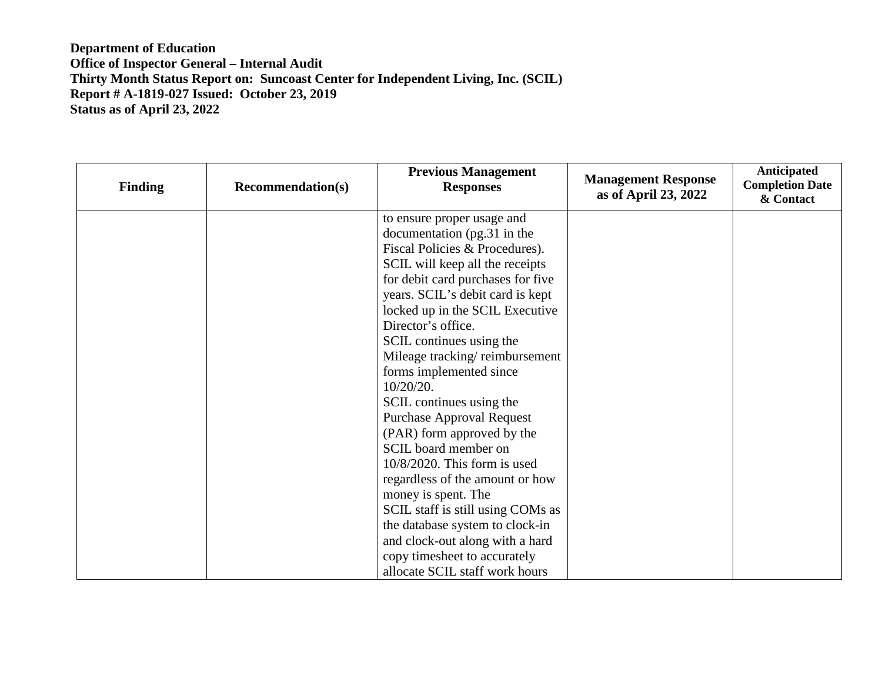| <b>Finding</b> | <b>Recommendation(s)</b> | <b>Previous Management</b><br><b>Responses</b> | <b>Management Response</b><br>as of April 23, 2022 | Anticipated<br><b>Completion Date</b><br>& Contact |
|----------------|--------------------------|------------------------------------------------|----------------------------------------------------|----------------------------------------------------|
|                |                          | to ensure proper usage and                     |                                                    |                                                    |
|                |                          | documentation (pg.31 in the                    |                                                    |                                                    |
|                |                          | Fiscal Policies & Procedures).                 |                                                    |                                                    |
|                |                          | SCIL will keep all the receipts                |                                                    |                                                    |
|                |                          | for debit card purchases for five              |                                                    |                                                    |
|                |                          | years. SCIL's debit card is kept               |                                                    |                                                    |
|                |                          | locked up in the SCIL Executive                |                                                    |                                                    |
|                |                          | Director's office.                             |                                                    |                                                    |
|                |                          | SCIL continues using the                       |                                                    |                                                    |
|                |                          | Mileage tracking/reimbursement                 |                                                    |                                                    |
|                |                          | forms implemented since                        |                                                    |                                                    |
|                |                          | $10/20/20$ .                                   |                                                    |                                                    |
|                |                          | SCIL continues using the                       |                                                    |                                                    |
|                |                          | <b>Purchase Approval Request</b>               |                                                    |                                                    |
|                |                          | (PAR) form approved by the                     |                                                    |                                                    |
|                |                          | SCIL board member on                           |                                                    |                                                    |
|                |                          | 10/8/2020. This form is used                   |                                                    |                                                    |
|                |                          | regardless of the amount or how                |                                                    |                                                    |
|                |                          | money is spent. The                            |                                                    |                                                    |
|                |                          | SCIL staff is still using COMs as              |                                                    |                                                    |
|                |                          | the database system to clock-in                |                                                    |                                                    |
|                |                          | and clock-out along with a hard                |                                                    |                                                    |
|                |                          | copy timesheet to accurately                   |                                                    |                                                    |
|                |                          | allocate SCIL staff work hours                 |                                                    |                                                    |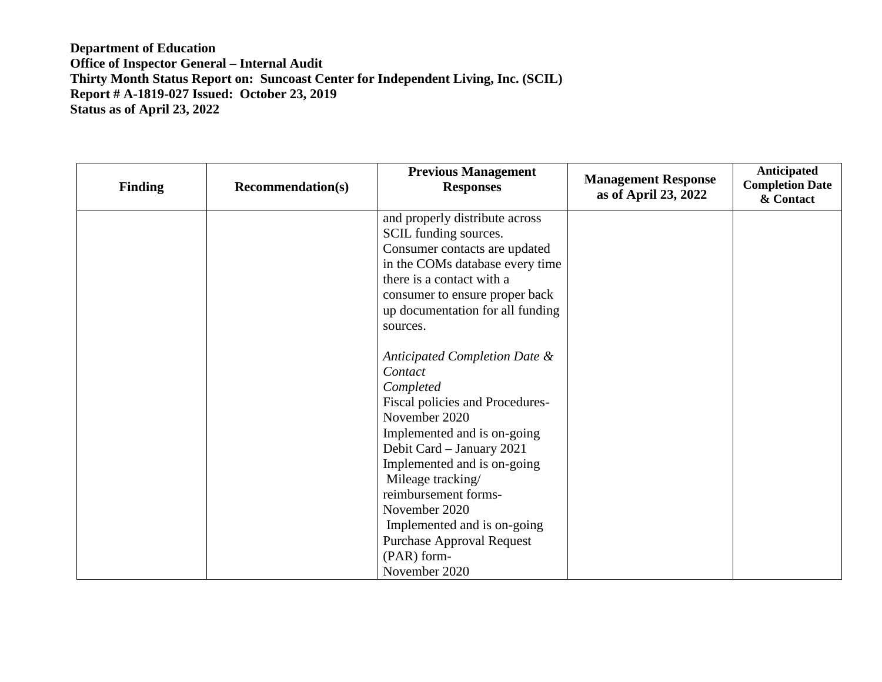| <b>Finding</b> | <b>Recommendation(s)</b> | <b>Previous Management</b><br><b>Responses</b> | <b>Management Response</b><br>as of April 23, 2022 | Anticipated<br><b>Completion Date</b><br>& Contact |
|----------------|--------------------------|------------------------------------------------|----------------------------------------------------|----------------------------------------------------|
|                |                          | and properly distribute across                 |                                                    |                                                    |
|                |                          | SCIL funding sources.                          |                                                    |                                                    |
|                |                          | Consumer contacts are updated                  |                                                    |                                                    |
|                |                          | in the COMs database every time                |                                                    |                                                    |
|                |                          | there is a contact with a                      |                                                    |                                                    |
|                |                          | consumer to ensure proper back                 |                                                    |                                                    |
|                |                          | up documentation for all funding               |                                                    |                                                    |
|                |                          | sources.                                       |                                                    |                                                    |
|                |                          |                                                |                                                    |                                                    |
|                |                          | Anticipated Completion Date &                  |                                                    |                                                    |
|                |                          | Contact                                        |                                                    |                                                    |
|                |                          | Completed                                      |                                                    |                                                    |
|                |                          | Fiscal policies and Procedures-                |                                                    |                                                    |
|                |                          | November 2020                                  |                                                    |                                                    |
|                |                          | Implemented and is on-going                    |                                                    |                                                    |
|                |                          | Debit Card - January 2021                      |                                                    |                                                    |
|                |                          | Implemented and is on-going                    |                                                    |                                                    |
|                |                          | Mileage tracking/                              |                                                    |                                                    |
|                |                          | reimbursement forms-                           |                                                    |                                                    |
|                |                          | November 2020                                  |                                                    |                                                    |
|                |                          | Implemented and is on-going                    |                                                    |                                                    |
|                |                          | <b>Purchase Approval Request</b>               |                                                    |                                                    |
|                |                          | (PAR) form-                                    |                                                    |                                                    |
|                |                          | November 2020                                  |                                                    |                                                    |